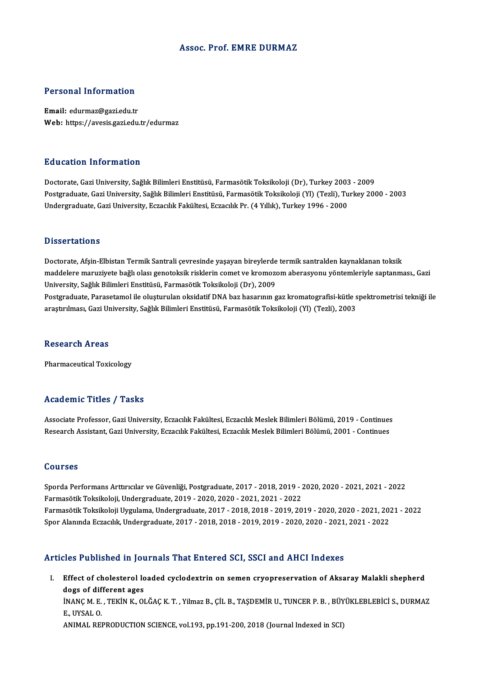### Assoc. Prof. EMRE DURMAZ

### Personal Information

Email: edurmaz@gazi.edu.tr Web: https://avesis.gazi.edu.tr/edurmaz

### Education Information

Doctorate, Gazi University, Sağlık Bilimleri Enstitüsü, Farmasötik Toksikoloji (Dr), Turkey 2003 - 2009 Postgraduate, Gazi University, Sağlık Bilimleri Enstitüsü, Farmasötik Toksikoloji (Yl) (Tezli), Turkey 2000 - 2003 Undergraduate, Gazi University, Eczacılık Fakültesi, Eczacılık Pr. (4 Yıllık), Turkey 1996 - 2000

### **Dissertations**

Doctorate, Afşin-Elbistan Termik Santrali çevresinde yaşayan bireylerde termik santralden kaynaklanan toksik maddelere maruziyete bağlı olası genotoksik risklerin comet ve kromozom aberasyonu yöntemleriyle saptanması., Gazi University, Sağlık Bilimleri Enstitüsü, Farmasötik Toksikoloji (Dr), 2009 maddelere maruziyete bağlı olası genotoksik risklerin comet ve kromozom aberasyonu yöntemleriyle saptanması., Gazi<br>University, Sağlık Bilimleri Enstitüsü, Farmasötik Toksikoloji (Dr), 2009<br>Postgraduate, Parasetamol ile olu University, Sağlık Bilimleri Enstitüsü, Farmasötik Toksikoloji (Dr), 2009<br>Postgraduate, Parasetamol ile oluşturulan oksidatif DNA baz hasarının gaz kromatografisi-kütle s<br>araştırılması, Gazi University, Sağlık Bilimleri En araştırılması, Gazi University, Sağlık Bilimleri Enstitüsü, Farmasötik Toksikoloji (Yl) (Tezli), 2003<br>Research Areas

Pharmaceutical Toxicology

### Academic Titles / Tasks

Associate Professor, Gazi University, Eczacılık Fakültesi, Eczacılık Meslek Bilimleri Bölümü, 2019 - Continues Research Assistant, Gazi University, Eczacılık Fakültesi, Eczacılık Meslek Bilimleri Bölümü, 2001 - Continues

### Courses

Courses<br>Sporda Performans Arttırıcılar ve Güvenliği, Postgraduate, 2017 - 2018, 2019 - 2020, 2020 - 2021, 2021 - 2022<br>Farmaşötik Teksikeleji, Undergraduate, 2019, 2020, 2020, 2021, 2021, 2022 Soursss<br>Sporda Performans Arttırıcılar ve Güvenliği, Postgraduate, 2017 - 2018, 2019 - .<br>Farmasötik Toksikoloji, Undergraduate, 2019 - 2020, 2020 - 2021, 2021 - 2022<br>Farmasötik Toksikoloji Uygulama, Undergraduate, 2017 - 2 Farmasötik Toksikoloji, Undergraduate, 2019 - 2020, 2020 - 2021, 2021 - 2022<br>Farmasötik Toksikoloji Uygulama, Undergraduate, 2017 - 2018, 2018 - 2019, 2019 - 2020, 2020 - 2021, 2021 - 2022 SporAlanındaEczacılık,Undergraduate,2017 -2018,2018 -2019,2019 -2020,2020 -2021,2021 -2022

### Articles Published in Journals That Entered SCI, SSCI and AHCI Indexes

rticles Published in Journals That Entered SCI, SSCI and AHCI Indexes<br>I. Effect of cholesterol loaded cyclodextrin on semen cryopreservation of Aksaray Malakli shepherd<br>dogs of different sess. Effect of cholesterol lo<br>dogs of different ages<br>iNANC M E \_TEVIN V\_OI Effect of cholesterol loaded cyclodextrin on semen cryopreservation of Aksaray Malakli shepherd<br>dogs of different ages<br>İNANÇ M. E. , TEKİN K., OLĞAÇ K. T. , Yilmaz B., ÇİL B., TAŞDEMİR U., TUNCER P. B. , BÜYÜKLEBLEBİCİ S., **dogs of dif**<br>İNANÇ M. E.<br>E., UYSAL O.<br>ANIMAL BEL İNANÇ M. E. , TEKİN K., OLĞAÇ K. T. , Yilmaz B., ÇİL B., TAŞDEMİR U., TUNCER P. B. , BÜY<br>E., UYSAL O.<br>ANIMAL REPRODUCTION SCIENCE, vol.193, pp.191-200, 2018 (Journal Indexed in SCI)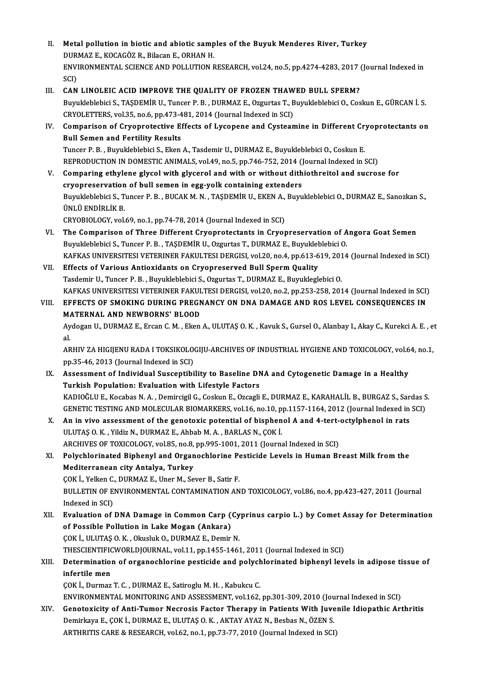- II. Metal pollution in biotic and abiotic samples of the Buyuk Menderes River, Turkey<br>DURMAZE, KOCACÖZE, Bilagar E. OBHAN H Metal pollution in biotic and abiotic samp<br>DURMAZ E., KOCAGÖZ R., Bilacan E., ORHAN H.<br>ENWRONMENTAL SCIENCE AND POLLUTION E ENVIRONMENTAL SCIENCE AND POLLUTION RESEARCH, vol.24, no.5, pp.4274-4283, 2017 (Journal Indexed in SCI) DURMAZ E., KOCAGÖZ R., Bilacan E., ORHAN H. ENVIRONMENTAL SCIENCE AND POLLUTION RESEARCH, vol.24, no.5, pp.4274-4283, 2017 (<br>SCI)<br>III. CAN LINOLEIC ACID IMPROVE THE QUALITY OF FROZEN THAWED BULL SPERM?<br>Purukleblobici S. TASDEMIR II. Tunger B. B. DUBMAZ E. Orguntas T
- SCI)<br>CAN LINOLEIC ACID IMPROVE THE QUALITY OF FROZEN THAWED BULL SPERM?<br>Buyukleblebici S., TAŞDEMİR U., Tuncer P. B. , DURMAZ E., Ozgurtas T., Buyukleblebici O., Coskun E., GÜRCAN İ.S<br>CRYOLETTERS XQL35, De 6, PD 473, 481, CAN LINOLEIC ACID IMPROVE THE QUALITY OF FROZEN THAW<br>Buyukleblebici S., TAŞDEMİR U., Tuncer P. B. , DURMAZ E., Ozgurtas T., B<br>CRYOLETTERS, vol.35, no.6, pp.473-481, 2014 (Journal Indexed in SCI)<br>Comparison of Cryonratastiv Buyukleblebici S., TAŞDEMİR U., Tuncer P. B. , DURMAZ E., Ozgurtas T., Buyukleblebici O., Coskun E., GÜRCAN İ. S.<br>CRYOLETTERS, vol.35, no.6, pp.473-481, 2014 (Journal Indexed in SCI)<br>IV. Comparison of Cryoprotective Effect
- CRYOLETTERS, vol.35, no.6, pp.473-481, 2014 (Journal Indexed in SCI)<br>IV. Comparison of Cryoprotective Effects of Lycopene and Cysteamine in Different Cryoprotectants on<br>Bull Semen and Fertility Results Tuncer P.B. ,BuyukleblebiciS.,EkenA.,TasdemirU.,DURMAZ E.,BuyukleblebiciO.,CoskunE. Bull Semen and Fertility Results<br>Tuncer P. B. , Buyukleblebici S., Eken A., Tasdemir U., DURMAZ E., Buyukleblebici O., Coskun E.<br>REPRODUCTION IN DOMESTIC ANIMALS, vol.49, no.5, pp.746-752, 2014 (Journal Indexed in SCI)<br>Com Tuncer P. B., Buyukleblebici S., Eken A., Tasdemir U., DURMAZ E., Buyukleblebici O., Coskun E.<br>REPRODUCTION IN DOMESTIC ANIMALS, vol.49, no.5, pp.746-752, 2014 (Journal Indexed in SCI)<br>V. Comparing ethylene glycol with gly
- REPRODUCTION IN DOMESTIC ANIMALS, vol.49, no.5, pp.746-752, 2014 ()<br>Comparing ethylene glycol with glycerol and with or without dith<br>cryopreservation of bull semen in egg-yolk containing extenders<br>Buryklablebigi S. Tunger Comparing ethylene glycol with glycerol and with or without dithiothreitol and sucrose for<br>cryopreservation of bull semen in egg-yolk containing extenders<br>Buyukleblebici S., Tuncer P. B. , BUCAK M. N. , TAŞDEMİR U., EKEN A cryopreservation<br>Buyukleblebici S., T<br>ÜNLÜ ENDİRLİK B.<br>CPYOPIOLOCY. vel. Buyukleblebici S., Tuncer P. B. , BUCAK M. N. , TAŞDEMİR U., EKEN A.,<br>ÜNLÜ ENDİRLİK B.<br>CRYOBIOLOGY, vol.69, no.1, pp.74-78, 2014 (Journal Indexed in SCI)<br>The Companison of Thues Different Cuvennetestants in Cuven UNLU ENDIRLIK B.<br>CRYOBIOLOGY, vol.69, no.1, pp.74-78, 2014 (Journal Indexed in SCI)<br>VI. The Comparison of Three Different Cryoprotectants in Cryopreservation of Angora Goat Semen<br>Purpklablabiai S. Tunger B. B. TASDEMIB U.
- CRYOBIOLOGY, vol.69, no.1, pp.74-78, 2014 (Journal Indexed in SCI)<br>The Comparison of Three Different Cryoprotectants in Cryopreservation of A<br>Buyukleblebici S., Tuncer P. B. , TAŞDEMİR U., Ozgurtas T., DURMAZ E., Buyuklebl The Comparison of Three Different Cryoprotectants in Cryopreservation of Angora Goat Semen<br>Buyukleblebici S., Tuncer P. B. , TAŞDEMİR U., Ozgurtas T., DURMAZ E., Buyukleblebici O.<br>KAFKAS UNIVERSITESI VETERINER FAKULTESI DE Buyukleblebici S., Tuncer P. B., TAŞDEMİR U., Ozgurtas T., DURMAZ E., Buyukleblebici O.<br>KAFKAS UNIVERSITESI VETERINER FAKULTESI DERGISI, vol.20, no.4, pp.613-619, 2014<br>VII. Effects of Various Antioxidants on Cryopreserved
- KAFKAS UNIVERSITESI VETERINER FAKULTESI DERGISI, vol.20, no.4, pp.613-619, 201<br>Effects of Various Antioxidants on Cryopreserved Bull Sperm Quality<br>Tasdemir U., Tuncer P. B. , Buyukleblebici S., Ozgurtas T., DURMAZ E., Buyu KAFKAS UNIVERSITESI VETERINER FAKULTESI DERGISI, vol.20, no.2, pp.253-258, 2014 (Journal Indexed in SCI) Tasdemir U., Tuncer P. B. , Buyukleblebici S., Ozgurtas T., DURMAZ E., Buyukleglebici O.<br>KAFKAS UNIVERSITESI VETERINER FAKULTESI DERGISI, vol.20, no.2, pp.253-258, 2014 (Journal Indexed in SCI)<br>VIII. EFFECTS OF SMOKING DUR
- KAFKAS UNIVERSITESI VETERINER FAKUL<br>EFFECTS OF SMOKING DURING PREGN<br>MATERNAL AND NEWBORNS' BLOOD<br>Avdogan II, DUBMAZ E, Erean C.M., Ekan EFFECTS OF SMOKING DURING PREGNANCY ON DNA DAMAGE AND ROS LEVEL CONSEQUENCES IN<br>MATERNAL AND NEWBORNS' BLOOD<br>Aydogan U., DURMAZ E., Ercan C. M. , Eken A., ULUTAŞ O. K. , Kavuk S., Gursel O., Alanbay I., Akay C., Kurekci A.

M<sub>4</sub><br>Ay<br>al. Aydogan U., DURMAZ E., Ercan C. M. , Eken A., ULUTAŞ O. K. , Kavuk S., Gursel O., Alanbay I., Akay C., Kurekci A. E. , e<br>al.<br>ARHIV ZA HIGIJENU RADA I TOKSIKOLOGIJU-ARCHIVES OF INDUSTRIAL HYGIENE AND TOXICOLOGY, vol.64, no.

al.<br>ARHIV ZA HIGIJENU RADA I TOKSIKOLOGIJU-ARCHIVES OF INDUSTRIAL HYGIENE AND TOXICOLOGY, vol.64, no.1,<br>pp.35-46, 2013 (Journal Indexed in SCI) ARHIV ZA HIGIJENU RADA I TOKSIKOLOGIJU-ARCHIVES OF INDUSTRIAL HYGIENE AND TOXICOLOGY, vol.6<br>pp.35-46, 2013 (Journal Indexed in SCI)<br>IX. Assessment of Individual Susceptibility to Baseline DNA and Cytogenetic Damage in a He

- pp.35-46, 2013 (Journal Indexed in SCI)<br>Assessment of Individual Susceptibility to Baseline DN<br>Turkish Population: Evaluation with Lifestyle Factors<br>KADIOČLUE Kosebas N.A., Dominsisil G. Goslun E. Ozsasli Assessment of Individual Susceptibility to Baseline DNA and Cytogenetic Damage in a Healthy<br>Turkish Population: Evaluation with Lifestyle Factors<br>KADIOĞLU E., Kocabas N. A. , Demircigil G., Coskun E., Ozcagli E., DURMAZ E. Turkish Population: Evaluation with Lifestyle Factors<br>KADIOĞLU E., Kocabas N. A. , Demircigil G., Coskun E., Ozcagli E., DURMAZ E., KARAHALİL B., BURGAZ S., Sardas S<br>GENETIC TESTING AND MOLECULAR BIOMARKERS, vol.16, no.10, KADIOĞLU E., Kocabas N. A. , Demircigil G., Coskun E., Ozcagli E., DURMAZ E., KARAHALİL B., BURGAZ S., Sar<br>GENETIC TESTING AND MOLECULAR BIOMARKERS, vol.16, no.10, pp.1157-1164, 2012 (Journal Indexed in<br>X. An in vivo asses
- GENETIC TESTING AND MOLECULAR BIOMARKERS, vol.16, no.10, p.<br>An in vivo assessment of the genotoxic potential of bisphen<br>ULUTAŞ O.K., Yildiz N., DURMAZ E., Ahbab M.A., BARLAS N., ÇOK İ.<br>ARCUIVES OF TOYICOLOCY, vol.<sup>95</sup>, no. X. An in vivo assessment of the genotoxic potential of bisphenol A and 4-tert-octylphenol in rats<br>ULUTAS O.K., Yildiz N., DURMAZ E., Ahbab M.A., BARLAS N., COK İ. ARCHIVES OF TOXICOLOGY, vol.85, no.8, pp.995-1001, 2011 (Journal Indexed in SCI)

# XI. Polychlorinated Biphenyl and Organochlorine Pesticide Levels in Human Breast Milk from the Mediterranean city Antalya, Turkey Polychlorinated Biphenyl and Organochlorine Pe<br>Mediterranean city Antalya, Turkey<br>ÇOK İ., Yelken C., DURMAZ E., Uner M., Sever B., Satir F.<br>PULLETIN OF ENVIRONMENTAL CONTAMINATION AN

Mediterranean city Antalya, Turkey<br>ÇOK İ., Yelken C., DURMAZ E., Uner M., Sever B., Satir F.<br>BULLETIN OF ENVIRONMENTAL CONTAMINATION AND TOXICOLOGY, vol.86, no.4, pp.423-427, 2011 (Journal<br>Indexed in SCD. COK İ., Yelken C.<br>BULLETIN OF E<br>Indexed in SCI)<br>Evaluation of BULLETIN OF ENVIRONMENTAL CONTAMINATION AND TOXICOLOGY, vol.86, no.4, pp.423-427, 2011 (Journal<br>Indexed in SCI)<br>XII. Evaluation of DNA Damage in Common Carp (Cyprinus carpio L.) by Comet Assay for Determination<br>of Possible

Indexed in SCI)<br>Evaluation of DNA Damage in Common Carp (<br>of Possible Pollution in Lake Mogan (Ankara)<br>COK LUUTAS O K. Okushk O. DUPMAZ E. Demir Evaluation of DNA Damage in Common Carp (Cy<br>of Possible Pollution in Lake Mogan (Ankara)<br>ÇOK İ., ULUTAŞ O.K. , Okusluk O., DURMAZ E., Demir N.<br>THESCIENTIEICWORI DIQURMAL .vol 11. pp.1455.1463 of Possible Pollution in Lake Mogan (Ankara)<br>ÇOK İ., ULUTAŞ O. K. , Okusluk O., DURMAZ E., Demir N.<br>THESCIENTIFICWORLDJOURNAL, vol.11, pp.1455-1461, 2011 (Journal Indexed in SCI)<br>Determination of organoshlorine nestiside a

## COK İ., ULUTAŞ O. K. , Okusluk O., DURMAZ E., Demir N.<br>THESCIENTIFICWORLDJOURNAL, vol.11, pp.1455-1461, 2011 (Journal Indexed in SCI)<br>XIII. Determination of organochlorine pesticide and polychlorinated biphenyl levels THESCIENTIFIC<br>Determination<br>infertile men Determination of organochlorine pesticide and polych<br>infertile men<br>ÇOK İ., Durmaz T. C. , DURMAZ E., Satiroglu M. H. , Kabukcu C.<br>ENVIRONMENTAL MONITORING AND ASSESSMENT vol 162 infertile men<br>ÇOK İ., Durmaz T. C. , DURMAZ E., Satiroglu M. H. , Kabukcu C.<br>ENVIRONMENTAL MONITORING AND ASSESSMENT, vol.162, pp.301-309, 2010 (Journal Indexed in SCI)<br>Constavisity of Anti-Tumor Negresis Easter Thereny in

COK İ., Durmaz T. C. , DURMAZ E., Satiroglu M. H. , Kabukcu C.<br>ENVIRONMENTAL MONITORING AND ASSESSMENT, vol.162, pp.301-309, 2010 (Journal Indexed in SCI)<br>XIV. Genotoxicity of Anti-Tumor Necrosis Factor Therapy in Patients ENVIRONMENTAL MONITORING AND ASSESSMENT, vol.162, pp.301-309, 2010 (Jou<br>Genotoxicity of Anti-Tumor Necrosis Factor Therapy in Patients With Juve<br>Demirkaya E., ÇOK İ., DURMAZ E., ULUTAŞ O. K. , AKTAY AYAZ N., Besbas N., ÖZE Genotoxicity of Anti-Tumor Necrosis Factor Therapy in Patients With Juvenile Idiopathic Arthritis<br>Demirkaya E., ÇOK İ., DURMAZ E., ULUTAŞ O. K. , AKTAY AYAZ N., Besbas N., ÖZEN S.<br>ARTHRITIS CARE & RESEARCH, vol.62, no.1, p